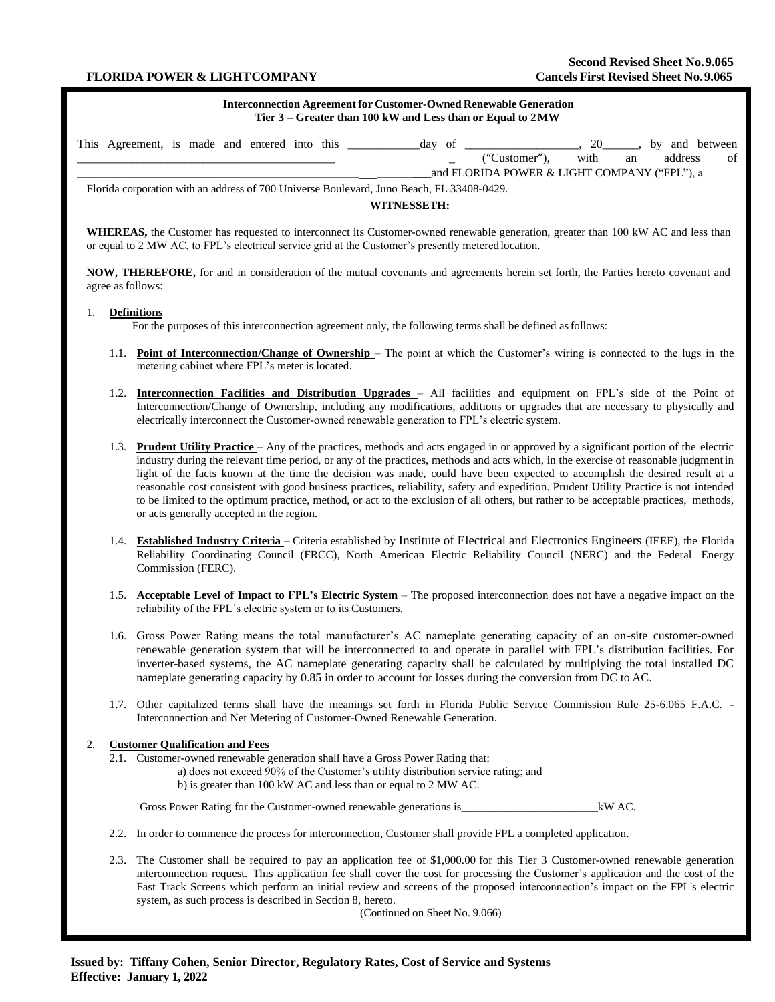#### **Interconnection Agreement for Customer-Owned Renewable Generation Tier 3 – Greater than 100 kW and Less than or Equal to 2 MW**

|                                                                                           | This Agreement, is made and entered into this |  |  |  |  |  |  |  | day of |               | 20   |    |         | by and between |
|-------------------------------------------------------------------------------------------|-----------------------------------------------|--|--|--|--|--|--|--|--------|---------------|------|----|---------|----------------|
|                                                                                           |                                               |  |  |  |  |  |  |  |        | ("Customer"), | with | an | address | of             |
|                                                                                           | and FLORIDA POWER & LIGHT COMPANY ("FPL"), a  |  |  |  |  |  |  |  |        |               |      |    |         |                |
| Florida corporation with an address of 700 Universe Boulevard, Juno Beach, FL 33408-0429. |                                               |  |  |  |  |  |  |  |        |               |      |    |         |                |

**WITNESSETH:**

**WHEREAS,** the Customer has requested to interconnect its Customer-owned renewable generation, greater than 100 kW AC and less than or equal to 2 MW AC, to FPL's electrical service grid at the Customer's presently metered location.

**NOW, THEREFORE,** for and in consideration of the mutual covenants and agreements herein set forth, the Parties hereto covenant and agree as follows:

## 1. **Definitions**

For the purposes of this interconnection agreement only, the following terms shall be defined asfollows:

- 1.1. **Point of Interconnection/Change of Ownership**  The point at which the Customer's wiring is connected to the lugs in the metering cabinet where FPL's meter is located.
- 1.2. **Interconnection Facilities and Distribution Upgrades** All facilities and equipment on FPL's side of the Point of Interconnection/Change of Ownership, including any modifications, additions or upgrades that are necessary to physically and electrically interconnect the Customer-owned renewable generation to FPL's electric system.
- 1.3. **Prudent Utility Practice –** Any of the practices, methods and acts engaged in or approved by a significant portion of the electric industry during the relevant time period, or any of the practices, methods and acts which, in the exercise of reasonable judgment in light of the facts known at the time the decision was made, could have been expected to accomplish the desired result at a reasonable cost consistent with good business practices, reliability, safety and expedition. Prudent Utility Practice is not intended to be limited to the optimum practice, method, or act to the exclusion of all others, but rather to be acceptable practices, methods, or acts generally accepted in the region.
- 1.4. **Established Industry Criteria –** Criteria established by Institute of Electrical and Electronics Engineers (IEEE), the Florida Reliability Coordinating Council (FRCC), North American Electric Reliability Council (NERC) and the Federal Energy Commission (FERC).
- 1.5. **Acceptable Level of Impact to FPL's Electric System** The proposed interconnection does not have a negative impact on the reliability of the FPL's electric system or to its Customers.
- 1.6. Gross Power Rating means the total manufacturer's AC nameplate generating capacity of an on-site customer-owned renewable generation system that will be interconnected to and operate in parallel with FPL's distribution facilities. For inverter-based systems, the AC nameplate generating capacity shall be calculated by multiplying the total installed DC nameplate generating capacity by 0.85 in order to account for losses during the conversion from DC to AC.
- 1.7. Other capitalized terms shall have the meanings set forth in Florida Public Service Commission Rule 25-6.065 F.A.C. Interconnection and Net Metering of Customer-Owned Renewable Generation.

## 2. **Customer Qualification and Fees**

2.1. Customer-owned renewable generation shall have a Gross Power Rating that: a) does not exceed 90% of the Customer's utility distribution service rating; and b) is greater than 100 kW AC and less than or equal to 2 MW AC.

Gross Power Rating for the Customer-owned renewable generations is\_\_\_\_\_\_\_\_\_\_\_\_\_\_\_\_\_\_\_\_\_\_\_\_kW AC.

- 2.2. In order to commence the process for interconnection, Customer shall provide FPL a completed application.
- 2.3. The Customer shall be required to pay an application fee of \$1,000.00 for this Tier 3 Customer-owned renewable generation interconnection request. This application fee shall cover the cost for processing the Customer's application and the cost of the Fast Track Screens which perform an initial review and screens of the proposed interconnection's impact on the FPL's electric system, as such process is described in Section 8, hereto.

(Continued on Sheet No. 9.066)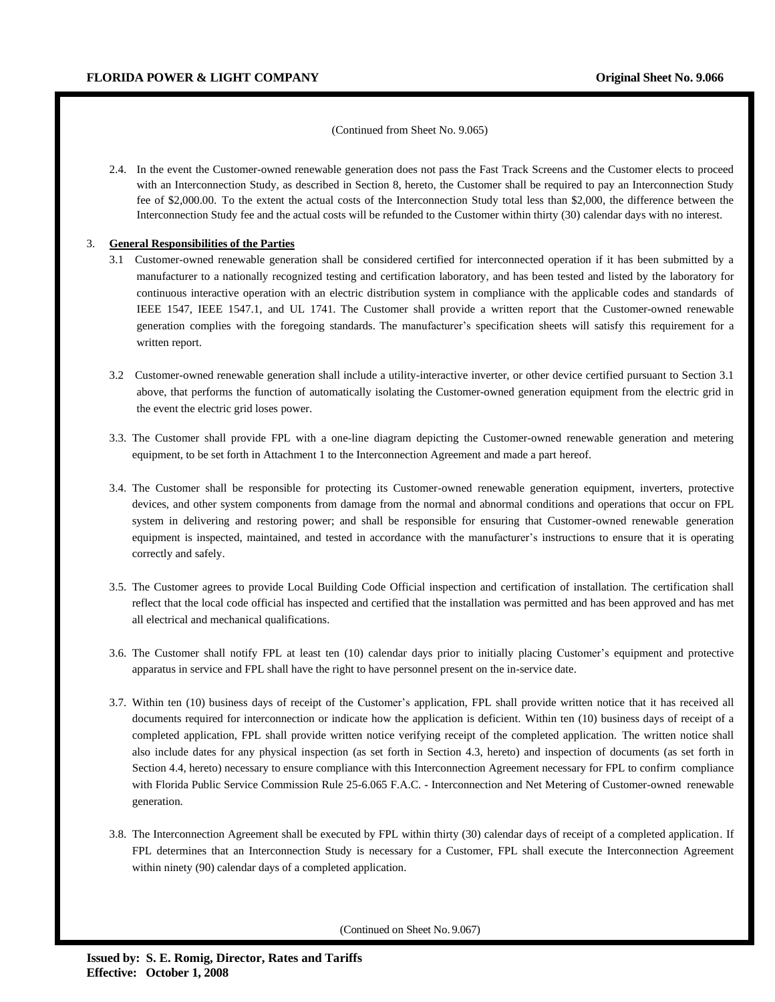#### (Continued from Sheet No. 9.065)

2.4. In the event the Customer-owned renewable generation does not pass the Fast Track Screens and the Customer elects to proceed with an Interconnection Study, as described in Section 8, hereto, the Customer shall be required to pay an Interconnection Study fee of \$2,000.00. To the extent the actual costs of the Interconnection Study total less than \$2,000, the difference between the Interconnection Study fee and the actual costs will be refunded to the Customer within thirty (30) calendar days with no interest.

#### 3. **General Responsibilities of the Parties**

- 3.1 Customer-owned renewable generation shall be considered certified for interconnected operation if it has been submitted by a manufacturer to a nationally recognized testing and certification laboratory, and has been tested and listed by the laboratory for continuous interactive operation with an electric distribution system in compliance with the applicable codes and standards of IEEE 1547, IEEE 1547.1, and UL 1741. The Customer shall provide a written report that the Customer-owned renewable generation complies with the foregoing standards. The manufacturer's specification sheets will satisfy this requirement for a written report.
- 3.2 Customer-owned renewable generation shall include a utility-interactive inverter, or other device certified pursuant to Section 3.1 above, that performs the function of automatically isolating the Customer-owned generation equipment from the electric grid in the event the electric grid loses power.
- 3.3. The Customer shall provide FPL with a one-line diagram depicting the Customer-owned renewable generation and metering equipment, to be set forth in Attachment 1 to the Interconnection Agreement and made a part hereof.
- 3.4. The Customer shall be responsible for protecting its Customer-owned renewable generation equipment, inverters, protective devices, and other system components from damage from the normal and abnormal conditions and operations that occur on FPL system in delivering and restoring power; and shall be responsible for ensuring that Customer-owned renewable generation equipment is inspected, maintained, and tested in accordance with the manufacturer's instructions to ensure that it is operating correctly and safely.
- 3.5. The Customer agrees to provide Local Building Code Official inspection and certification of installation. The certification shall reflect that the local code official has inspected and certified that the installation was permitted and has been approved and has met all electrical and mechanical qualifications.
- 3.6. The Customer shall notify FPL at least ten (10) calendar days prior to initially placing Customer's equipment and protective apparatus in service and FPL shall have the right to have personnel present on the in-service date.
- 3.7. Within ten (10) business days of receipt of the Customer's application, FPL shall provide written notice that it has received all documents required for interconnection or indicate how the application is deficient. Within ten (10) business days of receipt of a completed application, FPL shall provide written notice verifying receipt of the completed application. The written notice shall also include dates for any physical inspection (as set forth in Section 4.3, hereto) and inspection of documents (as set forth in Section 4.4, hereto) necessary to ensure compliance with this Interconnection Agreement necessary for FPL to confirm compliance with Florida Public Service Commission Rule 25-6.065 F.A.C. - Interconnection and Net Metering of Customer-owned renewable generation.
- 3.8. The Interconnection Agreement shall be executed by FPL within thirty (30) calendar days of receipt of a completed application. If FPL determines that an Interconnection Study is necessary for a Customer, FPL shall execute the Interconnection Agreement within ninety (90) calendar days of a completed application.

(Continued on Sheet No. 9.067)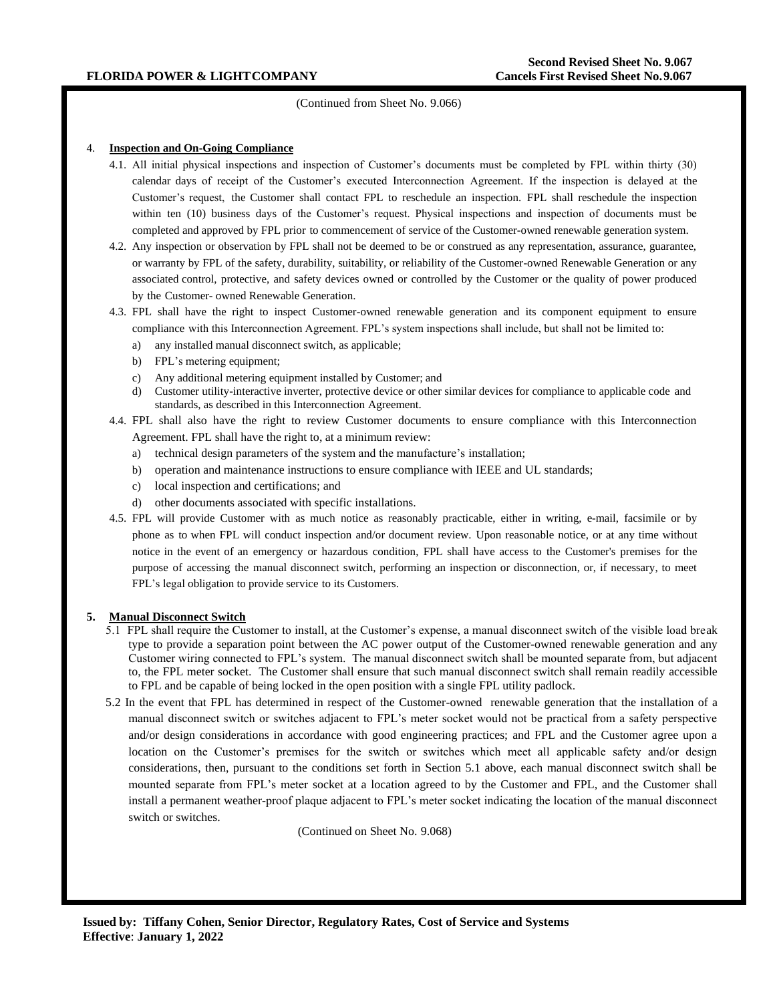(Continued from Sheet No. 9.066)

### 4. **Inspection and On-Going Compliance**

- 4.1. All initial physical inspections and inspection of Customer's documents must be completed by FPL within thirty (30) calendar days of receipt of the Customer's executed Interconnection Agreement. If the inspection is delayed at the Customer's request, the Customer shall contact FPL to reschedule an inspection. FPL shall reschedule the inspection within ten (10) business days of the Customer's request. Physical inspections and inspection of documents must be completed and approved by FPL prior to commencement of service of the Customer-owned renewable generation system.
- 4.2. Any inspection or observation by FPL shall not be deemed to be or construed as any representation, assurance, guarantee, or warranty by FPL of the safety, durability, suitability, or reliability of the Customer-owned Renewable Generation or any associated control, protective, and safety devices owned or controlled by the Customer or the quality of power produced by the Customer- owned Renewable Generation.
- 4.3. FPL shall have the right to inspect Customer-owned renewable generation and its component equipment to ensure compliance with this Interconnection Agreement. FPL's system inspections shall include, but shall not be limited to:
	- a) any installed manual disconnect switch, as applicable;
	- b) FPL's metering equipment;
	- c) Any additional metering equipment installed by Customer; and
	- d) Customer utility-interactive inverter, protective device or other similar devices for compliance to applicable code and standards, as described in this Interconnection Agreement.
- 4.4. FPL shall also have the right to review Customer documents to ensure compliance with this Interconnection Agreement. FPL shall have the right to, at a minimum review:
	- a) technical design parameters of the system and the manufacture's installation;
	- b) operation and maintenance instructions to ensure compliance with IEEE and UL standards;
	- c) local inspection and certifications; and
	- d) other documents associated with specific installations.
- 4.5. FPL will provide Customer with as much notice as reasonably practicable, either in writing, e-mail, facsimile or by phone as to when FPL will conduct inspection and/or document review. Upon reasonable notice, or at any time without notice in the event of an emergency or hazardous condition, FPL shall have access to the Customer's premises for the purpose of accessing the manual disconnect switch, performing an inspection or disconnection, or, if necessary, to meet FPL's legal obligation to provide service to its Customers.

## **5. Manual Disconnect Switch**

- 5.1 FPL shall require the Customer to install, at the Customer's expense, a manual disconnect switch of the visible load break type to provide a separation point between the AC power output of the Customer-owned renewable generation and any Customer wiring connected to FPL's system. The manual disconnect switch shall be mounted separate from, but adjacent to, the FPL meter socket. The Customer shall ensure that such manual disconnect switch shall remain readily accessible to FPL and be capable of being locked in the open position with a single FPL utility padlock.
- 5.2 In the event that FPL has determined in respect of the Customer-owned renewable generation that the installation of a manual disconnect switch or switches adjacent to FPL's meter socket would not be practical from a safety perspective and/or design considerations in accordance with good engineering practices; and FPL and the Customer agree upon a location on the Customer's premises for the switch or switches which meet all applicable safety and/or design considerations, then, pursuant to the conditions set forth in Section 5.1 above, each manual disconnect switch shall be mounted separate from FPL's meter socket at a location agreed to by the Customer and FPL, and the Customer shall install a permanent weather-proof plaque adjacent to FPL's meter socket indicating the location of the manual disconnect switch or switches.

(Continued on Sheet No. 9.068)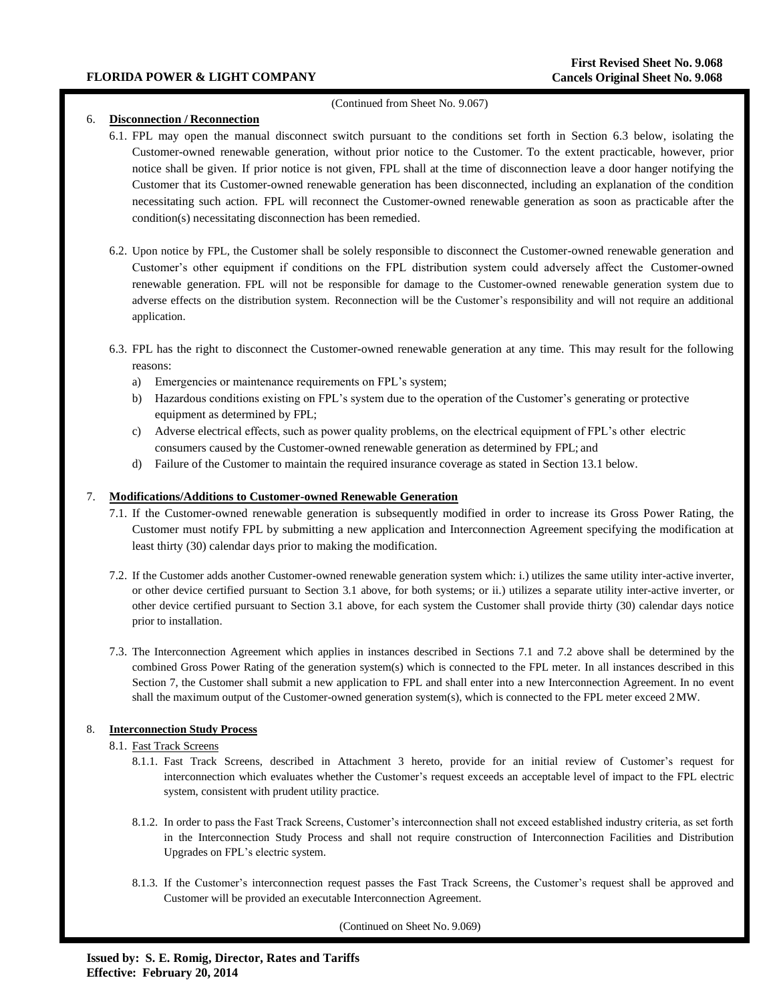## (Continued from Sheet No. 9.067)

# 6. **Disconnection / Reconnection**

- 6.1. FPL may open the manual disconnect switch pursuant to the conditions set forth in Section 6.3 below, isolating the Customer-owned renewable generation, without prior notice to the Customer. To the extent practicable, however, prior notice shall be given. If prior notice is not given, FPL shall at the time of disconnection leave a door hanger notifying the Customer that its Customer-owned renewable generation has been disconnected, including an explanation of the condition necessitating such action. FPL will reconnect the Customer-owned renewable generation as soon as practicable after the condition(s) necessitating disconnection has been remedied.
- 6.2. Upon notice by FPL, the Customer shall be solely responsible to disconnect the Customer-owned renewable generation and Customer's other equipment if conditions on the FPL distribution system could adversely affect the Customer-owned renewable generation. FPL will not be responsible for damage to the Customer-owned renewable generation system due to adverse effects on the distribution system. Reconnection will be the Customer's responsibility and will not require an additional application.
- 6.3. FPL has the right to disconnect the Customer-owned renewable generation at any time. This may result for the following reasons:
	- a) Emergencies or maintenance requirements on FPL's system;
	- b) Hazardous conditions existing on FPL's system due to the operation of the Customer's generating or protective equipment as determined by FPL;
	- c) Adverse electrical effects, such as power quality problems, on the electrical equipment of FPL's other electric consumers caused by the Customer-owned renewable generation as determined by FPL; and
	- d) Failure of the Customer to maintain the required insurance coverage as stated in Section 13.1 below.

## 7. **Modifications/Additions to Customer-owned Renewable Generation**

- 7.1. If the Customer-owned renewable generation is subsequently modified in order to increase its Gross Power Rating, the Customer must notify FPL by submitting a new application and Interconnection Agreement specifying the modification at least thirty (30) calendar days prior to making the modification.
- 7.2. If the Customer adds another Customer-owned renewable generation system which: i.) utilizes the same utility inter-active inverter, or other device certified pursuant to Section 3.1 above, for both systems; or ii.) utilizes a separate utility inter-active inverter, or other device certified pursuant to Section 3.1 above, for each system the Customer shall provide thirty (30) calendar days notice prior to installation.
- 7.3. The Interconnection Agreement which applies in instances described in Sections 7.1 and 7.2 above shall be determined by the combined Gross Power Rating of the generation system(s) which is connected to the FPL meter. In all instances described in this Section 7, the Customer shall submit a new application to FPL and shall enter into a new Interconnection Agreement. In no event shall the maximum output of the Customer-owned generation system(s), which is connected to the FPL meter exceed 2MW.

## 8. **Interconnection Study Process**

## 8.1. Fast Track Screens

- 8.1.1. Fast Track Screens, described in Attachment 3 hereto, provide for an initial review of Customer's request for interconnection which evaluates whether the Customer's request exceeds an acceptable level of impact to the FPL electric system, consistent with prudent utility practice.
- 8.1.2. In order to pass the Fast Track Screens, Customer's interconnection shall not exceed established industry criteria, as set forth in the Interconnection Study Process and shall not require construction of Interconnection Facilities and Distribution Upgrades on FPL's electric system.
- 8.1.3. If the Customer's interconnection request passes the Fast Track Screens, the Customer's request shall be approved and Customer will be provided an executable Interconnection Agreement.

(Continued on Sheet No. 9.069)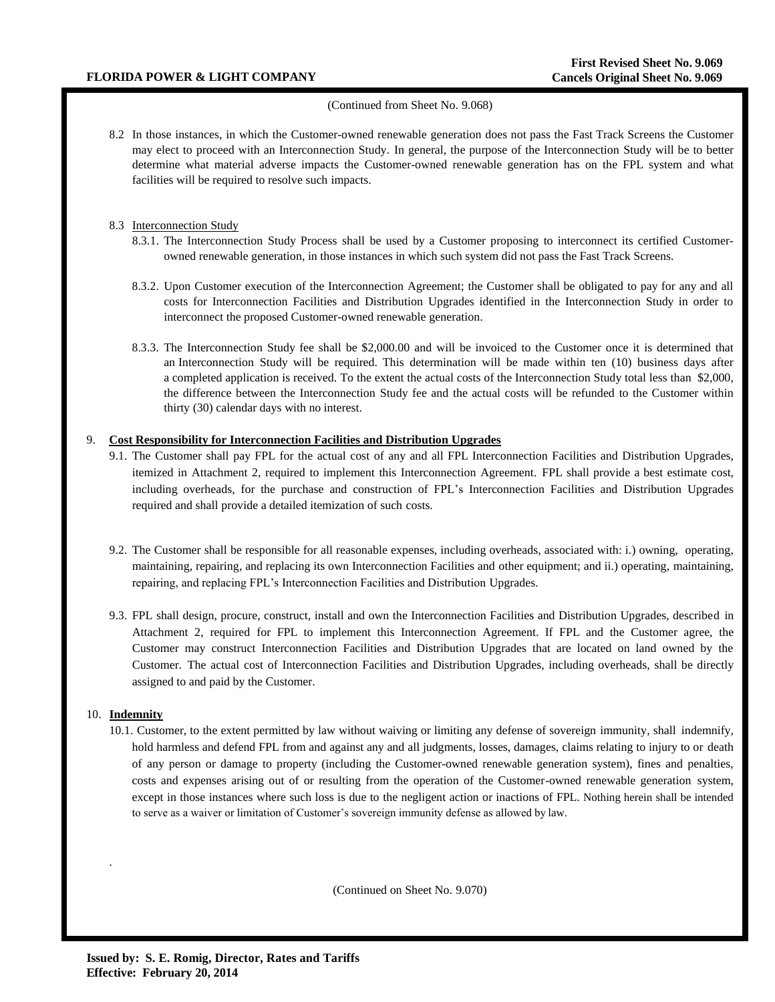## (Continued from Sheet No. 9.068)

8.2 In those instances, in which the Customer-owned renewable generation does not pass the Fast Track Screens the Customer may elect to proceed with an Interconnection Study. In general, the purpose of the Interconnection Study will be to better determine what material adverse impacts the Customer-owned renewable generation has on the FPL system and what facilities will be required to resolve such impacts.

## 8.3 Interconnection Study

- 8.3.1. The Interconnection Study Process shall be used by a Customer proposing to interconnect its certified Customerowned renewable generation, in those instances in which such system did not pass the Fast Track Screens.
- 8.3.2. Upon Customer execution of the Interconnection Agreement; the Customer shall be obligated to pay for any and all costs for Interconnection Facilities and Distribution Upgrades identified in the Interconnection Study in order to interconnect the proposed Customer-owned renewable generation.
- 8.3.3. The Interconnection Study fee shall be \$2,000.00 and will be invoiced to the Customer once it is determined that an Interconnection Study will be required. This determination will be made within ten (10) business days after a completed application is received. To the extent the actual costs of the Interconnection Study total less than \$2,000, the difference between the Interconnection Study fee and the actual costs will be refunded to the Customer within thirty (30) calendar days with no interest.

## 9. **Cost Responsibility for Interconnection Facilities and Distribution Upgrades**

- 9.1. The Customer shall pay FPL for the actual cost of any and all FPL Interconnection Facilities and Distribution Upgrades, itemized in Attachment 2, required to implement this Interconnection Agreement. FPL shall provide a best estimate cost, including overheads, for the purchase and construction of FPL's Interconnection Facilities and Distribution Upgrades required and shall provide a detailed itemization of such costs.
- 9.2. The Customer shall be responsible for all reasonable expenses, including overheads, associated with: i.) owning, operating, maintaining, repairing, and replacing its own Interconnection Facilities and other equipment; and ii.) operating, maintaining, repairing, and replacing FPL's Interconnection Facilities and Distribution Upgrades.
- 9.3. FPL shall design, procure, construct, install and own the Interconnection Facilities and Distribution Upgrades, described in Attachment 2, required for FPL to implement this Interconnection Agreement. If FPL and the Customer agree, the Customer may construct Interconnection Facilities and Distribution Upgrades that are located on land owned by the Customer. The actual cost of Interconnection Facilities and Distribution Upgrades, including overheads, shall be directly assigned to and paid by the Customer.

## 10. **Indemnity**

.

10.1. Customer, to the extent permitted by law without waiving or limiting any defense of sovereign immunity, shall indemnify, hold harmless and defend FPL from and against any and all judgments, losses, damages, claims relating to injury to or death of any person or damage to property (including the Customer-owned renewable generation system), fines and penalties, costs and expenses arising out of or resulting from the operation of the Customer-owned renewable generation system, except in those instances where such loss is due to the negligent action or inactions of FPL. Nothing herein shall be intended to serve as a waiver or limitation of Customer's sovereign immunity defense as allowed by law.

(Continued on Sheet No. 9.070)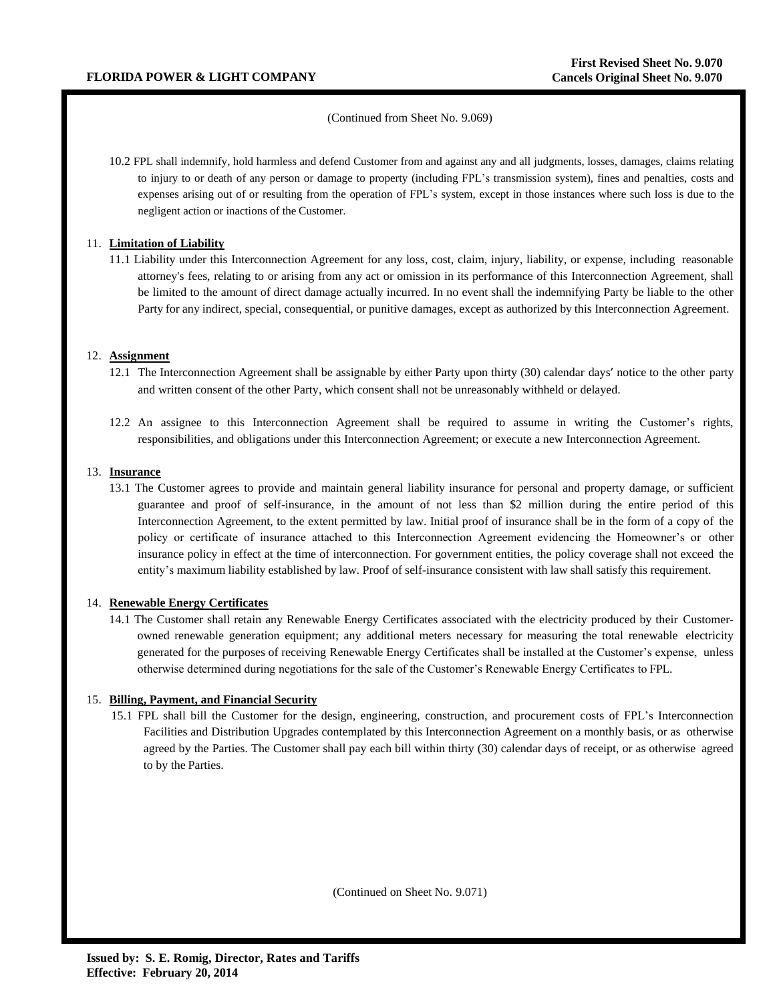## (Continued from Sheet No. 9.069)

10.2 FPL shall indemnify, hold harmless and defend Customer from and against any and all judgments, losses, damages, claims relating to injury to or death of any person or damage to property (including FPL's transmission system), fines and penalties, costs and expenses arising out of or resulting from the operation of FPL's system, except in those instances where such loss is due to the negligent action or inactions of the Customer.

## 11. **Limitation of Liability**

11.1 Liability under this Interconnection Agreement for any loss, cost, claim, injury, liability, or expense, including reasonable attorney's fees, relating to or arising from any act or omission in its performance of this Interconnection Agreement, shall be limited to the amount of direct damage actually incurred. In no event shall the indemnifying Party be liable to the other Party for any indirect, special, consequential, or punitive damages, except as authorized by this Interconnection Agreement.

## 12. **Assignment**

- 12.1 The Interconnection Agreement shall be assignable by either Party upon thirty (30) calendar days' notice to the other party and written consent of the other Party, which consent shall not be unreasonably withheld or delayed.
- 12.2 An assignee to this Interconnection Agreement shall be required to assume in writing the Customer's rights, responsibilities, and obligations under this Interconnection Agreement; or execute a new Interconnection Agreement.

## 13. **Insurance**

13.1 The Customer agrees to provide and maintain general liability insurance for personal and property damage, or sufficient guarantee and proof of self-insurance, in the amount of not less than \$2 million during the entire period of this Interconnection Agreement, to the extent permitted by law. Initial proof of insurance shall be in the form of a copy of the policy or certificate of insurance attached to this Interconnection Agreement evidencing the Homeowner's or other insurance policy in effect at the time of interconnection. For government entities, the policy coverage shall not exceed the entity's maximum liability established by law. Proof of self-insurance consistent with law shall satisfy this requirement.

## 14. **Renewable Energy Certificates**

14.1 The Customer shall retain any Renewable Energy Certificates associated with the electricity produced by their Customerowned renewable generation equipment; any additional meters necessary for measuring the total renewable electricity generated for the purposes of receiving Renewable Energy Certificates shall be installed at the Customer's expense, unless otherwise determined during negotiations for the sale of the Customer's Renewable Energy Certificates to FPL.

## 15. **Billing, Payment, and Financial Security**

15.1 FPL shall bill the Customer for the design, engineering, construction, and procurement costs of FPL's Interconnection Facilities and Distribution Upgrades contemplated by this Interconnection Agreement on a monthly basis, or as otherwise agreed by the Parties. The Customer shall pay each bill within thirty (30) calendar days of receipt, or as otherwise agreed to by the Parties.

(Continued on Sheet No. 9.071)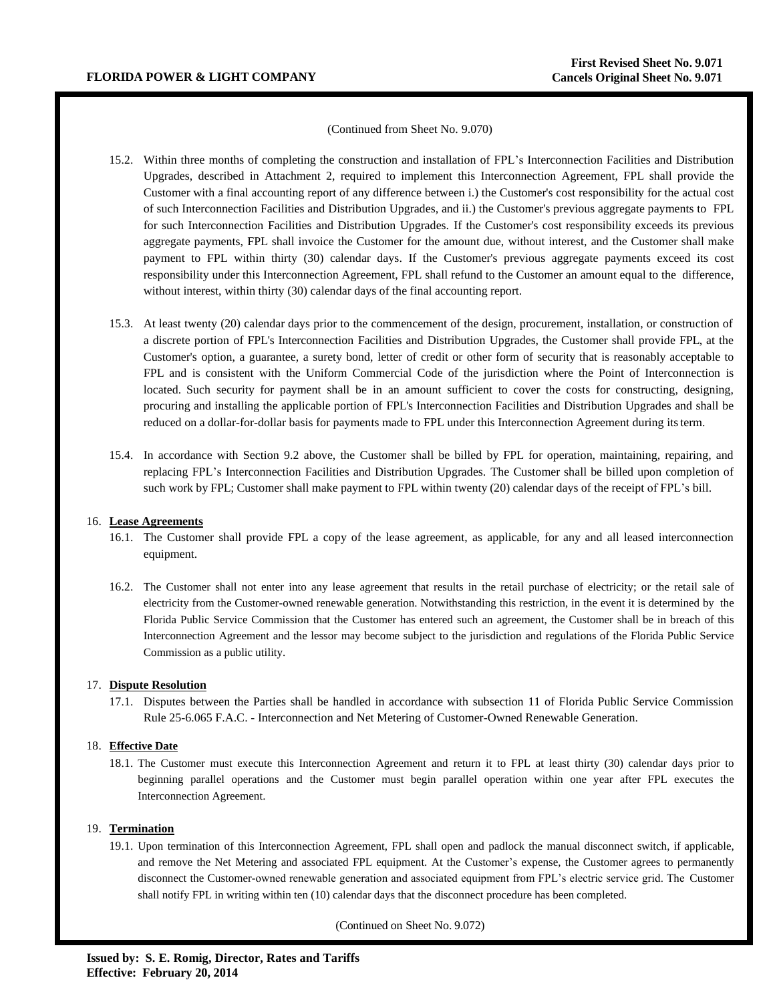#### (Continued from Sheet No. 9.070)

- 15.2. Within three months of completing the construction and installation of FPL's Interconnection Facilities and Distribution Upgrades, described in Attachment 2, required to implement this Interconnection Agreement, FPL shall provide the Customer with a final accounting report of any difference between i.) the Customer's cost responsibility for the actual cost of such Interconnection Facilities and Distribution Upgrades, and ii.) the Customer's previous aggregate payments to FPL for such Interconnection Facilities and Distribution Upgrades. If the Customer's cost responsibility exceeds its previous aggregate payments, FPL shall invoice the Customer for the amount due, without interest, and the Customer shall make payment to FPL within thirty (30) calendar days. If the Customer's previous aggregate payments exceed its cost responsibility under this Interconnection Agreement, FPL shall refund to the Customer an amount equal to the difference, without interest, within thirty (30) calendar days of the final accounting report.
- 15.3. At least twenty (20) calendar days prior to the commencement of the design, procurement, installation, or construction of a discrete portion of FPL's Interconnection Facilities and Distribution Upgrades, the Customer shall provide FPL, at the Customer's option, a guarantee, a surety bond, letter of credit or other form of security that is reasonably acceptable to FPL and is consistent with the Uniform Commercial Code of the jurisdiction where the Point of Interconnection is located. Such security for payment shall be in an amount sufficient to cover the costs for constructing, designing, procuring and installing the applicable portion of FPL's Interconnection Facilities and Distribution Upgrades and shall be reduced on a dollar-for-dollar basis for payments made to FPL under this Interconnection Agreement during itsterm.
- 15.4. In accordance with Section 9.2 above, the Customer shall be billed by FPL for operation, maintaining, repairing, and replacing FPL's Interconnection Facilities and Distribution Upgrades. The Customer shall be billed upon completion of such work by FPL; Customer shall make payment to FPL within twenty (20) calendar days of the receipt of FPL's bill.

#### 16. **Lease Agreements**

- 16.1. The Customer shall provide FPL a copy of the lease agreement, as applicable, for any and all leased interconnection equipment.
- 16.2. The Customer shall not enter into any lease agreement that results in the retail purchase of electricity; or the retail sale of electricity from the Customer-owned renewable generation. Notwithstanding this restriction, in the event it is determined by the Florida Public Service Commission that the Customer has entered such an agreement, the Customer shall be in breach of this Interconnection Agreement and the lessor may become subject to the jurisdiction and regulations of the Florida Public Service Commission as a public utility.

## 17. **Dispute Resolution**

17.1. Disputes between the Parties shall be handled in accordance with subsection 11 of Florida Public Service Commission Rule 25-6.065 F.A.C. - Interconnection and Net Metering of Customer-Owned Renewable Generation.

## 18. **Effective Date**

18.1. The Customer must execute this Interconnection Agreement and return it to FPL at least thirty (30) calendar days prior to beginning parallel operations and the Customer must begin parallel operation within one year after FPL executes the Interconnection Agreement.

### 19. **Termination**

19.1. Upon termination of this Interconnection Agreement, FPL shall open and padlock the manual disconnect switch, if applicable, and remove the Net Metering and associated FPL equipment. At the Customer's expense, the Customer agrees to permanently disconnect the Customer-owned renewable generation and associated equipment from FPL's electric service grid. The Customer shall notify FPL in writing within ten (10) calendar days that the disconnect procedure has been completed.

(Continued on Sheet No. 9.072)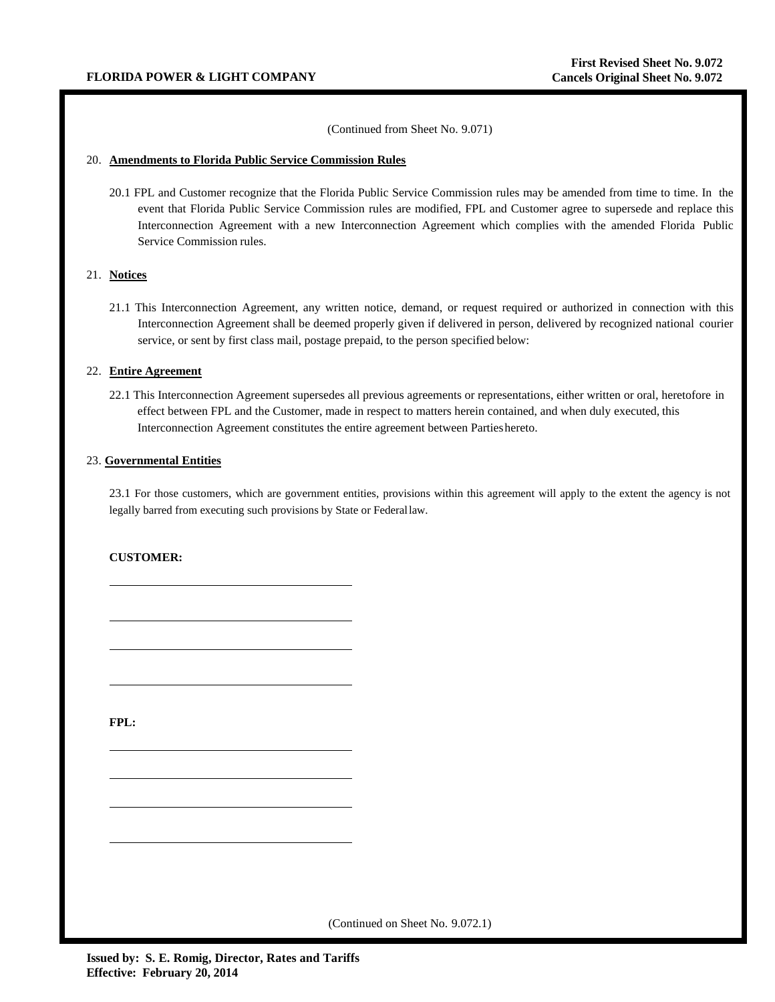(Continued from Sheet No. 9.071)

### 20. **Amendments to Florida Public Service Commission Rules**

20.1 FPL and Customer recognize that the Florida Public Service Commission rules may be amended from time to time. In the event that Florida Public Service Commission rules are modified, FPL and Customer agree to supersede and replace this Interconnection Agreement with a new Interconnection Agreement which complies with the amended Florida Public Service Commission rules.

### 21. **Notices**

21.1 This Interconnection Agreement, any written notice, demand, or request required or authorized in connection with this Interconnection Agreement shall be deemed properly given if delivered in person, delivered by recognized national courier service, or sent by first class mail, postage prepaid, to the person specified below:

### 22. **Entire Agreement**

22.1 This Interconnection Agreement supersedes all previous agreements or representations, either written or oral, heretofore in effect between FPL and the Customer, made in respect to matters herein contained, and when duly executed, this Interconnection Agreement constitutes the entire agreement between Partieshereto.

#### 23. **Governmental Entities**

23.1 For those customers, which are government entities, provisions within this agreement will apply to the extent the agency is not legally barred from executing such provisions by State or Federallaw.

## **CUSTOMER:**

**FPL:**

(Continued on Sheet No. 9.072.1)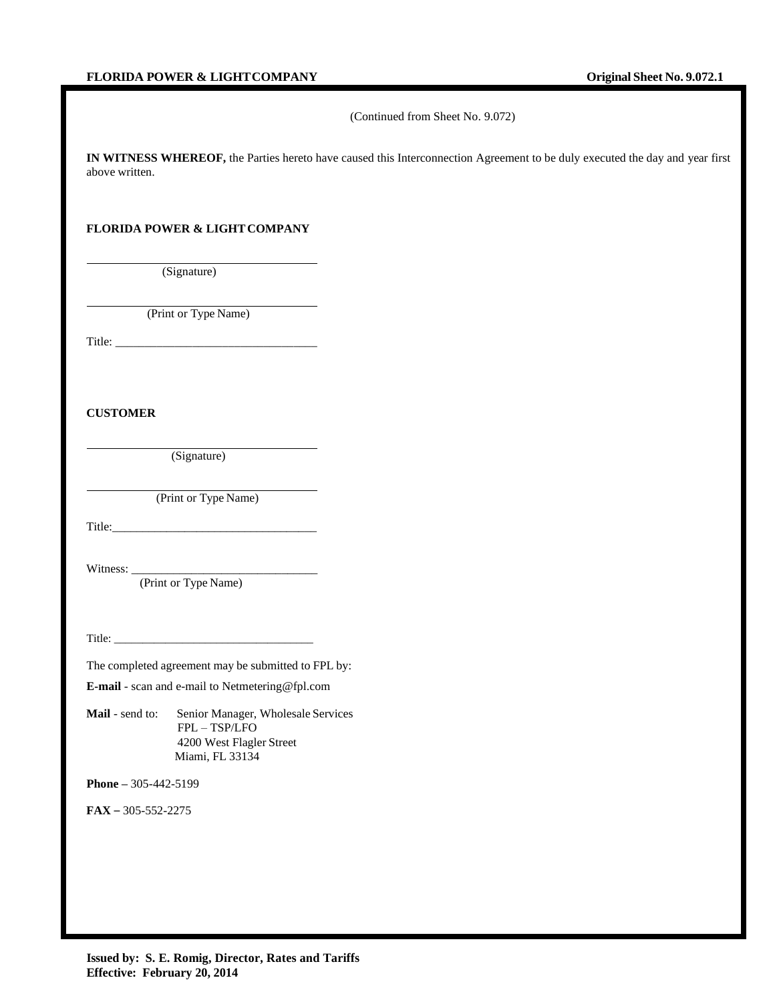(Continued from Sheet No. 9.072)

**IN WITNESS WHEREOF,** the Parties hereto have caused this Interconnection Agreement to be duly executed the day and year first above written.

## FLORIDA POWER & LIGHT COMPANY

(Signature)

(Print or Type Name)

Title: \_\_\_\_\_\_\_\_\_\_\_\_\_\_\_\_\_\_\_\_\_\_\_\_\_\_\_\_\_\_\_\_\_\_

**CUSTOMER**

(Signature)

(Print or Type Name)

Title:\_\_\_\_\_\_\_\_\_\_\_\_\_\_\_\_\_\_\_\_\_\_\_\_\_\_\_\_\_\_\_\_\_\_

Witness: \_\_\_\_\_\_\_\_\_\_\_\_\_\_\_\_\_\_\_\_\_\_\_\_\_\_\_\_\_\_\_

(Print or Type Name)

Title: \_\_\_\_\_\_\_\_\_\_\_\_\_\_\_\_\_\_\_\_\_\_\_\_\_\_\_\_\_\_\_\_\_\_\_

The completed agreement may be submitted to FPL by:

**E-mail** - scan and e-mail to Netmetering@fpl.com

Mail - send to: Senior Manager, Wholesale Services FPL – TSP/LFO 4200 West Flagler Street Miami, FL 33134

**Phone –** 305-442-5199

**FAX** – 305-552-2275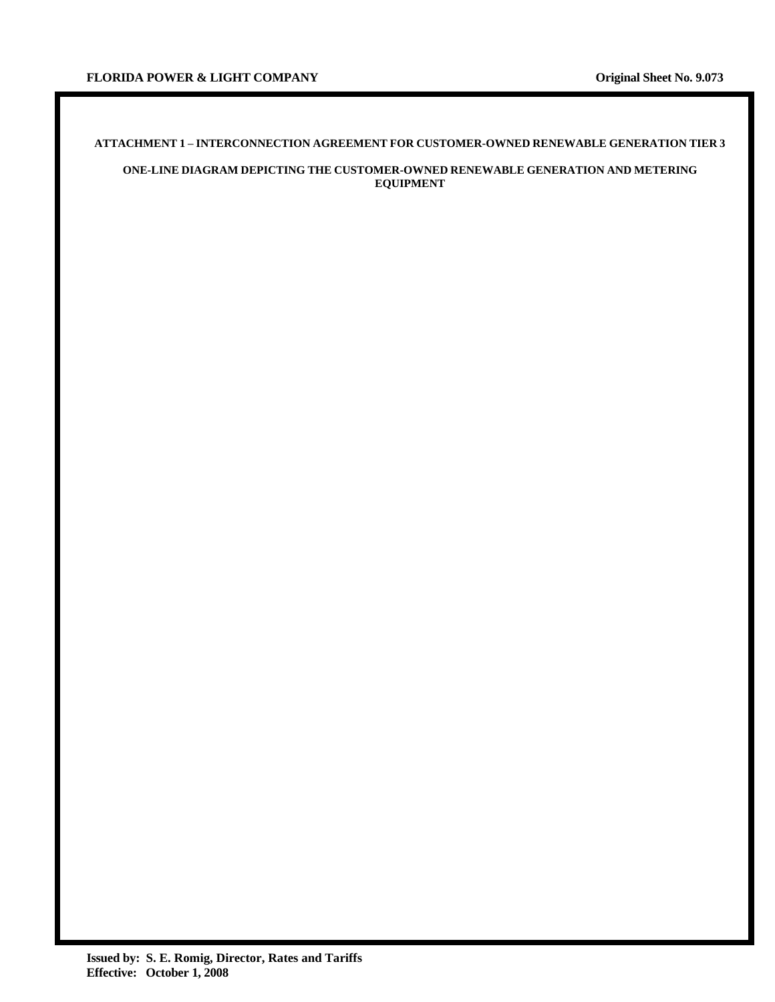# **ATTACHMENT 1 – INTERCONNECTION AGREEMENT FOR CUSTOMER-OWNED RENEWABLE GENERATION TIER 3**

## **ONE-LINE DIAGRAM DEPICTING THE CUSTOMER-OWNED RENEWABLE GENERATION AND METERING EQUIPMENT**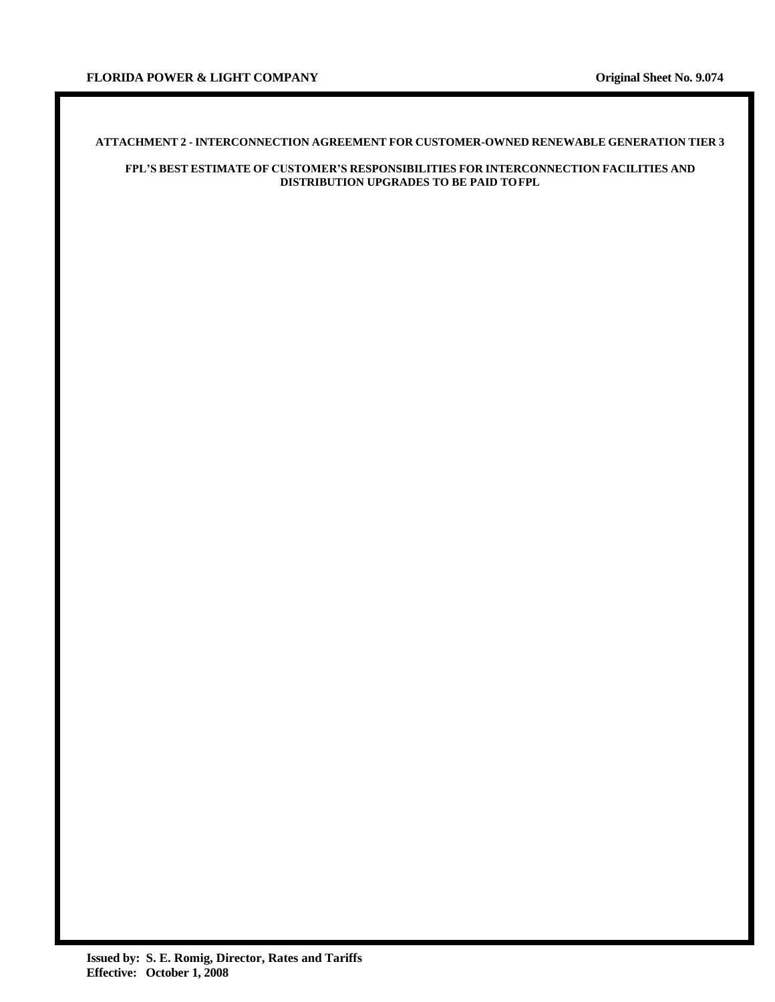## **ATTACHMENT 2 - INTERCONNECTION AGREEMENT FOR CUSTOMER-OWNED RENEWABLE GENERATION TIER 3**

## **FPL'S BEST ESTIMATE OF CUSTOMER'S RESPONSIBILITIES FOR INTERCONNECTION FACILITIES AND DISTRIBUTION UPGRADES TO BE PAID TOFPL**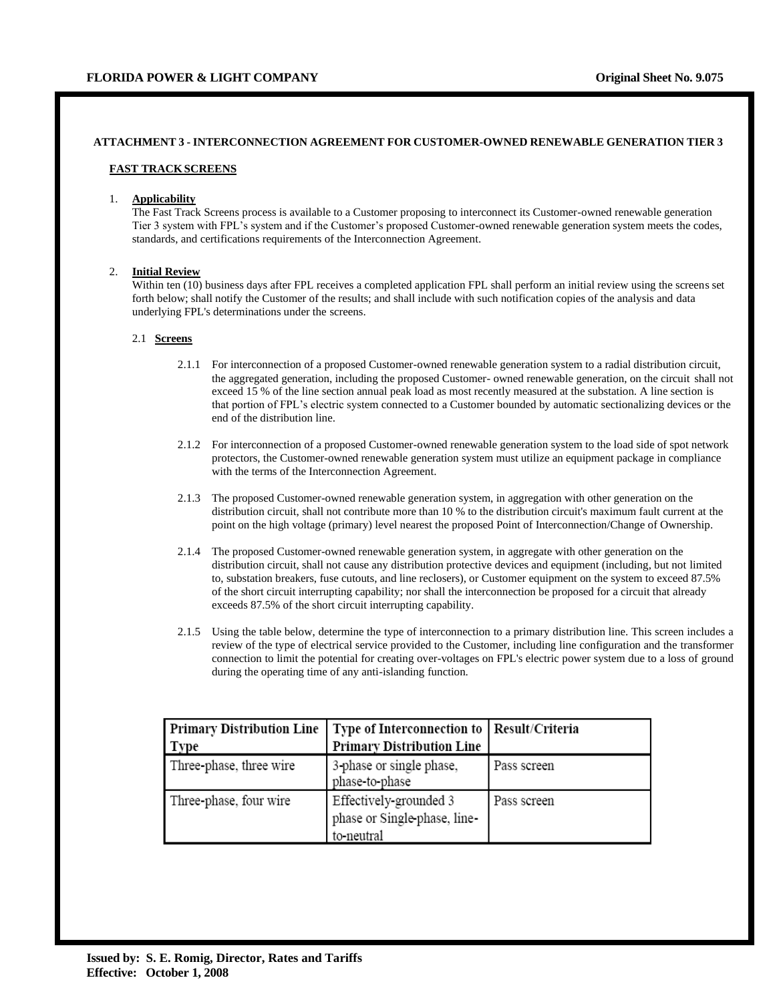# **ATTACHMENT 3 - INTERCONNECTION AGREEMENT FOR CUSTOMER-OWNED RENEWABLE GENERATION TIER 3**

## **FAST TRACKSCREENS**

## 1. **Applicability**

The Fast Track Screens process is available to a Customer proposing to interconnect its Customer-owned renewable generation Tier 3 system with FPL's system and if the Customer's proposed Customer-owned renewable generation system meets the codes, standards, and certifications requirements of the Interconnection Agreement.

# 2. **Initial Review**

Within ten (10) business days after FPL receives a completed application FPL shall perform an initial review using the screens set forth below; shall notify the Customer of the results; and shall include with such notification copies of the analysis and data underlying FPL's determinations under the screens.

#### 2.1 **Screens**

- 2.1.1 For interconnection of a proposed Customer-owned renewable generation system to a radial distribution circuit, the aggregated generation, including the proposed Customer- owned renewable generation, on the circuit shall not exceed 15 % of the line section annual peak load as most recently measured at the substation. A line section is that portion of FPL's electric system connected to a Customer bounded by automatic sectionalizing devices or the end of the distribution line.
- 2.1.2 For interconnection of a proposed Customer-owned renewable generation system to the load side of spot network protectors, the Customer-owned renewable generation system must utilize an equipment package in compliance with the terms of the Interconnection Agreement.
- 2.1.3 The proposed Customer-owned renewable generation system, in aggregation with other generation on the distribution circuit, shall not contribute more than 10 % to the distribution circuit's maximum fault current at the point on the high voltage (primary) level nearest the proposed Point of Interconnection/Change of Ownership.
- 2.1.4 The proposed Customer-owned renewable generation system, in aggregate with other generation on the distribution circuit, shall not cause any distribution protective devices and equipment (including, but not limited to, substation breakers, fuse cutouts, and line reclosers), or Customer equipment on the system to exceed 87.5% of the short circuit interrupting capability; nor shall the interconnection be proposed for a circuit that already exceeds 87.5% of the short circuit interrupting capability.
- 2.1.5 Using the table below, determine the type of interconnection to a primary distribution line. This screen includes a review of the type of electrical service provided to the Customer, including line configuration and the transformer connection to limit the potential for creating over-voltages on FPL's electric power system due to a loss of ground during the operating time of any anti-islanding function.

| <b>Primary Distribution Line</b> | Type of Interconnection to   Result/Criteria                         |             |  |  |
|----------------------------------|----------------------------------------------------------------------|-------------|--|--|
| Type                             | <b>Primary Distribution Line</b>                                     |             |  |  |
| Three-phase, three wire          | 3-phase or single phase,<br>phase-to-phase                           | Pass screen |  |  |
| Three-phase, four wire           | Effectively-grounded 3<br>phase or Single-phase, line-<br>to-neutral | Pass screen |  |  |